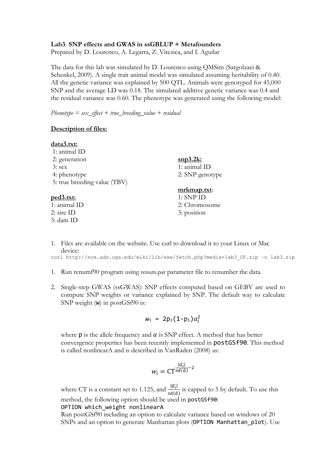## **Lab3 SNP effects and GWAS in ssGBLUP + Metafounders**

Prepared by D. Lourenco, A. Legarra, Z. Vitezica, and I. Aguilar

The data for this lab was simulated by D. Lourenco using QMSim (Sargolzaei & Schenkel, 2009). A single trait animal model was simulated assuming heritability of 0.40. All the genetic variance was explained by 500 QTL. Animals were genotyped for 45,000 SNP and the average LD was 0.18. The simulated additive genetic variance was 0.4 and the residual variance was 0.60. The phenotype was generated using the following model:

*Phenotype = sex\_effect + true\_breeding\_value + residual*

### **Description of files:**

### **data3.txt:**

## **ped3.txt:**

1: animal ID 2: sire ID 3: dam ID

**snp3.2k:**  1: animal ID 2: SNP genotype

## **mrkmap.txt**:

- 1: SNP ID 2: Chromosome 3: position
- 1. Files are available on the website. Use curl to download it to your Linux or Mac device:

curl http://nce.ads.uga.edu/wiki/lib/exe/fetch.php?media=lab3 UF.zip -o lab3.zip

- 1. Run renumf90 program using renum.par parameter file to renumber the data.
- 2. Single-step GWAS (ssGWAS): SNP effects computed based on GEBV are used to compute SNP weights or variance explained by SNP. The default way to calculate SNP weight (w) in postGSf90 is:

$$
w_i = 2p_i(1-p_i)a_i^2
$$

where  $p$  is the allele frequency and  $a$  is SNP effect. A method that has better convergence properties has been recently implemented in postGSf90. This method is called nonlinearA and is described in VanRaden (2008) as:

$$
w_i = \mathsf{CT}^{\frac{|\widehat{a_i}|}{sd(\widehat{a})} - 2}
$$

where CT is a constant set to 1.125, and  $\frac{|\widehat{a_l}|}{sd(\widehat{a})}$  is capped to 5 by default. To use this method, the following option should be used in postGSf90:

### OPTION which weight nonlinearA

Run postGSf90 including an option to calculate variance based on windows of 20 SNPs and an option to generate Manhattan plots (OPTION Manhattan\_plot). Use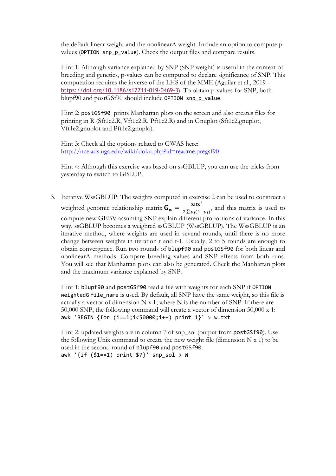the default linear weight and the nonlinearA weight. Include an option to compute pvalues (OPTION snp\_p\_value). Check the output files and compare results.

Hint 1: Although variance explained by SNP (SNP weight) is useful in the context of breeding and genetics, p-values can be computed to declare significance of SNP. This computation requires the inverse of the LHS of the MME (Aguilar et al., 2019 https://doi.org/10.1186/s12711-019-0469-3). To obtain p-values for SNP, both blupf90 and postGSf90 should include OPTION snp\_p\_value.

Hint 2: postGSf90 prints Manhattan plots on the screen and also creates files for printing in R (Sft1e2.R, Vft1e2.R, Pft1e2.R) and in Gnuplot (Sft1e2.gnuplot, Vft1e2.gnuplot and Pft1e2.gnuplo).

Hint 3: Check all the options related to GWAS here: http://nce.ads.uga.edu/wiki/doku.php?id=readme.pregsf90

Hint 4: Although this exercise was based on ssGBLUP, you can use the tricks from yesterday to switch to GBLUP.

3. Iterative WssGBLUP: The weights computed in exercise 2 can be used to construct a weighted genomic relationship matrix  $G_w = \frac{z\Delta z'}{2\sum p_i(1-p_i)}$ , and this matrix is used to compute new GEBV assuming SNP explain different proportions of variance. In this way, ssGBLUP becomes a weighted ssGBLUP (WssGBLUP). The WssGBLUP is an iterative method, where weights are used in several rounds, until there is no more change between weights in iteration t and t-1. Usually, 2 to 5 rounds are enough to obtain convergence. Run two rounds of blupf90 and postGSf90 for both linear and nonlinearA methods. Compare breeding values and SNP effects from both runs. You will see that Manhattan plots can also be generated. Check the Manhattan plots and the maximum variance explained by SNP.

Hint 1: blupf90 and postGSf90 read a file with weights for each SNP if OPTION weightedG file name is used. By default, all SNP have the same weight, so this file is actually a vector of dimension  $N \times 1$ ; where  $N$  is the number of SNP. If there are 50,000 SNP, the following command will create a vector of dimension 50,000 x 1: awk 'BEGIN {for  $(i==1;i<50000;i++)$  print  $1$ }' > w.txt

Hint 2: updated weights are in column 7 of snp\_sol (output from postGSf90). Use the following Unix command to create the new weight file (dimension  $N \times 1$ ) to be used in the second round of blupf90 and postGSf90. awk '{if (\$1==1) print \$7}' snp\_sol > W